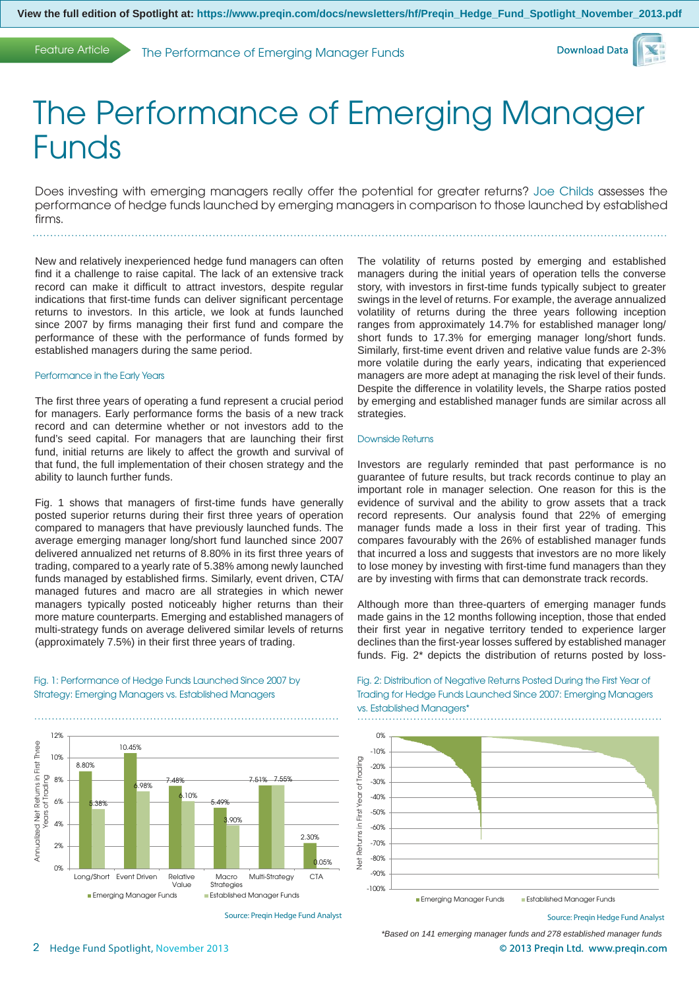Feature Article The Performance of Emerging Manager Funds



# The Performance of Emerging Manager Funds

Does investing with emerging managers really offer the potential for greater returns? Joe Childs assesses the performance of hedge funds launched by emerging managers in comparison to those launched by established firms.

New and relatively inexperienced hedge fund managers can often find it a challenge to raise capital. The lack of an extensive track record can make it difficult to attract investors, despite regular indications that first-time funds can deliver significant percentage

returns to investors. In this article, we look at funds launched since 2007 by firms managing their first fund and compare the performance of these with the performance of funds formed by established managers during the same period.

# Performance in the Early Years

The first three years of operating a fund represent a crucial period for managers. Early performance forms the basis of a new track record and can determine whether or not investors add to the fund's seed capital. For managers that are launching their first fund, initial returns are likely to affect the growth and survival of that fund, the full implementation of their chosen strategy and the ability to launch further funds.

Fig. 1 shows that managers of first-time funds have generally posted superior returns during their first three years of operation compared to managers that have previously launched funds. The average emerging manager long/short fund launched since 2007 delivered annualized net returns of 8.80% in its first three years of trading, compared to a yearly rate of 5.38% among newly launched funds managed by established firms. Similarly, event driven, CTA/ managed futures and macro are all strategies in which newer managers typically posted noticeably higher returns than their more mature counterparts. Emerging and established managers of multi-strategy funds on average delivered similar levels of returns (approximately 7.5%) in their first three years of trading.

Fig. 1: Performance of Hedge Funds Launched Since 2007 by Strategy: Emerging Managers vs. Established Managers

12% Annualized Net Returns in First Three Annualized Net Returns in First Three 10.45% 10% 8.80% Trading 8% Years of Trading 7.48% 7.51% 7.55% 6.98% 6.10% 6% 5.499  $\overline{\sigma}$ **2.8** lears 3.90%  $40/$ 2.30% 2% 0.05% 0% Long/Short Event Driven Relative Multi-Strategy CTA Macro Value **Strategies Emerging Manager Funds** Established Manager Funds

Source: Preqin Hedge Fund Analyst

The volatility of returns posted by emerging and established managers during the initial years of operation tells the converse story, with investors in first-time funds typically subject to greater swings in the level of returns. For example, the average annualized volatility of returns during the three years following inception ranges from approximately 14.7% for established manager long/ short funds to 17.3% for emerging manager long/short funds. Similarly, first-time event driven and relative value funds are 2-3% more volatile during the early years, indicating that experienced managers are more adept at managing the risk level of their funds. Despite the difference in volatility levels, the Sharpe ratios posted by emerging and established manager funds are similar across all strategies.

## Downside Returns

vs. Established Managers\*

Investors are regularly reminded that past performance is no guarantee of future results, but track records continue to play an important role in manager selection. One reason for this is the evidence of survival and the ability to grow assets that a track record represents. Our analysis found that 22% of emerging manager funds made a loss in their first year of trading. This compares favourably with the 26% of established manager funds that incurred a loss and suggests that investors are no more likely to lose money by investing with first-time fund managers than they are by investing with firms that can demonstrate track records.

Although more than three-quarters of emerging manager funds made gains in the 12 months following inception, those that ended their first year in negative territory tended to experience larger declines than the first-year losses suffered by established manager funds. Fig. 2\* depicts the distribution of returns posted by loss-

Fig. 2: Distribution of Negative Returns Posted During the First Year of Trading for Hedge Funds Launched Since 2007: Emerging Managers

0% -10% Year of Trading Net Returns in First Year of Trading -20% -30%  $-40%$ Returns in First -50% -60% -70% -80% すく  $0<sup>9</sup>$ -100% **Emerging Manager Funds** Established Manager Funds

Source: Preqin Hedge Fund Analyst

*\*Based on 141 emerging manager funds and 278 established manager funds*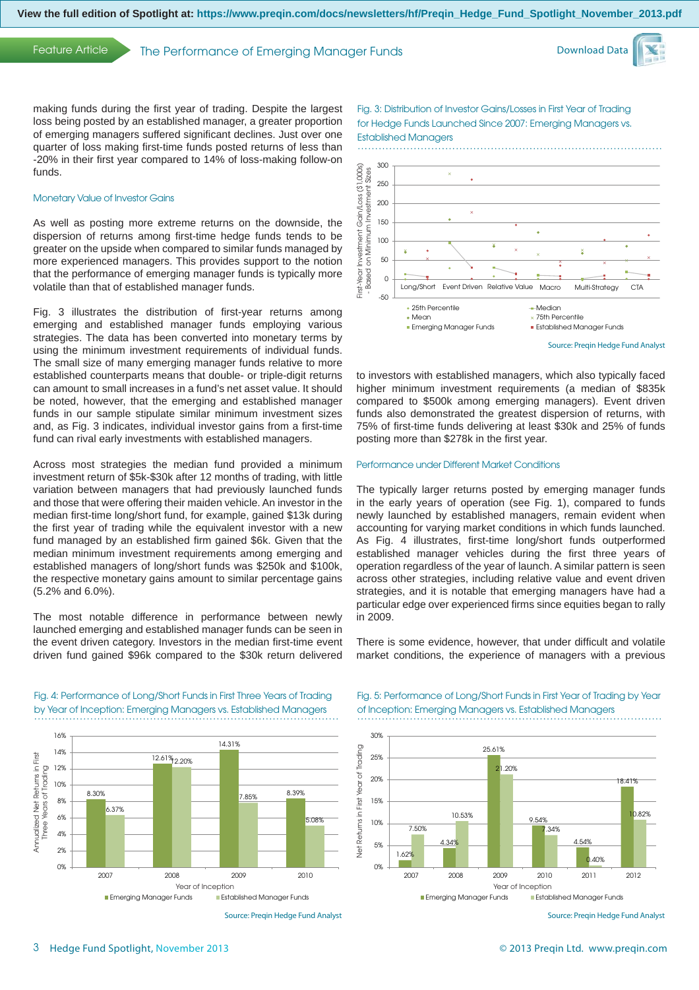Feature Article The Performance of Emerging Manager Funds



making funds during the first year of trading. Despite the largest loss being posted by an established manager, a greater proportion of emerging managers suffered significant declines. Just over one quarter of loss making first-time funds posted returns of less than -20% in their first year compared to 14% of loss-making follow-on funds.

# Monetary Value of Investor Gains

As well as posting more extreme returns on the downside, the dispersion of returns among first-time hedge funds tends to be greater on the upside when compared to similar funds managed by more experienced managers. This provides support to the notion that the performance of emerging manager funds is typically more volatile than that of established manager funds.

Fig. 3 illustrates the distribution of first-year returns among emerging and established manager funds employing various strategies. The data has been converted into monetary terms by using the minimum investment requirements of individual funds. The small size of many emerging manager funds relative to more established counterparts means that double- or triple-digit returns can amount to small increases in a fund's net asset value. It should be noted, however, that the emerging and established manager funds in our sample stipulate similar minimum investment sizes and, as Fig. 3 indicates, individual investor gains from a first-time fund can rival early investments with established managers.

Across most strategies the median fund provided a minimum investment return of \$5k-\$30k after 12 months of trading, with little variation between managers that had previously launched funds and those that were offering their maiden vehicle. An investor in the median first-time long/short fund, for example, gained \$13k during the first year of trading while the equivalent investor with a new fund managed by an established firm gained \$6k. Given that the median minimum investment requirements among emerging and established managers of long/short funds was \$250k and \$100k, the respective monetary gains amount to similar percentage gains (5.2% and 6.0%).

The most notable difference in performance between newly launched emerging and established manager funds can be seen in the event driven category. Investors in the median first-time event driven fund gained \$96k compared to the \$30k return delivered

Fig. 4: Performance of Long/Short Funds in First Three Years of Trading by Year of Inception: Emerging Managers vs. Established Managers



Fig. 3: Distribution of Investor Gains/Losses in First Year of Trading for Hedge Funds Launched Since 2007: Emerging Managers vs.

to investors with established managers, which also typically faced higher minimum investment requirements (a median of \$835k compared to \$500k among emerging managers). Event driven funds also demonstrated the greatest dispersion of returns, with 75% of first-time funds delivering at least \$30k and 25% of funds posting more than \$278k in the first year.

### Performance under Different Market Conditions

The typically larger returns posted by emerging manager funds in the early years of operation (see Fig. 1), compared to funds newly launched by established managers, remain evident when accounting for varying market conditions in which funds launched. As Fig. 4 illustrates, first-time long/short funds outperformed established manager vehicles during the first three years of operation regardless of the year of launch. A similar pattern is seen across other strategies, including relative value and event driven strategies, and it is notable that emerging managers have had a particular edge over experienced firms since equities began to rally in 2009.

There is some evidence, however, that under difficult and volatile market conditions, the experience of managers with a previous



Source: Preqin Hedge Fund Analyst

Fig. 5: Performance of Long/Short Funds in First Year of Trading by Year of Inception: Emerging Managers vs. Established Managers



Source: Preqin Hedge Fund Analyst